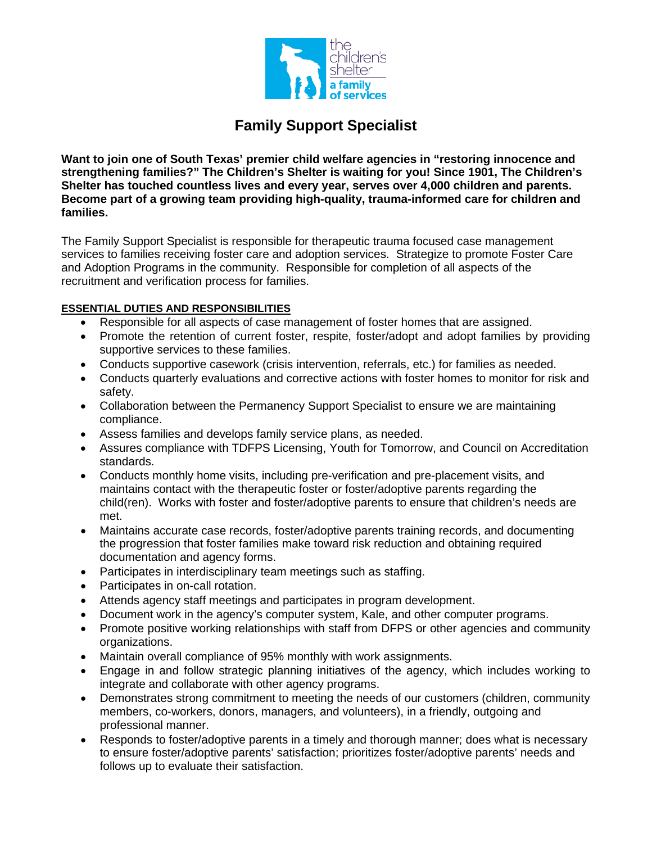

## **Family Support Specialist**

**Want to join one of South Texas' premier child welfare agencies in "restoring innocence and strengthening families?" The Children's Shelter is waiting for you! Since 1901, The Children's Shelter has touched countless lives and every year, serves over 4,000 children and parents. Become part of a growing team providing high-quality, trauma-informed care for children and families.** 

The Family Support Specialist is responsible for therapeutic trauma focused case management services to families receiving foster care and adoption services. Strategize to promote Foster Care and Adoption Programs in the community. Responsible for completion of all aspects of the recruitment and verification process for families.

## **ESSENTIAL DUTIES AND RESPONSIBILITIES**

- Responsible for all aspects of case management of foster homes that are assigned.
- Promote the retention of current foster, respite, foster/adopt and adopt families by providing supportive services to these families.
- Conducts supportive casework (crisis intervention, referrals, etc.) for families as needed.
- Conducts quarterly evaluations and corrective actions with foster homes to monitor for risk and safety.
- Collaboration between the Permanency Support Specialist to ensure we are maintaining compliance.
- Assess families and develops family service plans, as needed.
- Assures compliance with TDFPS Licensing, Youth for Tomorrow, and Council on Accreditation standards.
- Conducts monthly home visits, including pre-verification and pre-placement visits, and maintains contact with the therapeutic foster or foster/adoptive parents regarding the child(ren). Works with foster and foster/adoptive parents to ensure that children's needs are met.
- Maintains accurate case records, foster/adoptive parents training records, and documenting the progression that foster families make toward risk reduction and obtaining required documentation and agency forms.
- Participates in interdisciplinary team meetings such as staffing.
- Participates in on-call rotation.
- Attends agency staff meetings and participates in program development.
- Document work in the agency's computer system, Kale, and other computer programs.
- Promote positive working relationships with staff from DFPS or other agencies and community organizations.
- Maintain overall compliance of 95% monthly with work assignments.
- Engage in and follow strategic planning initiatives of the agency, which includes working to integrate and collaborate with other agency programs.
- Demonstrates strong commitment to meeting the needs of our customers (children, community members, co-workers, donors, managers, and volunteers), in a friendly, outgoing and professional manner.
- Responds to foster/adoptive parents in a timely and thorough manner; does what is necessary to ensure foster/adoptive parents' satisfaction; prioritizes foster/adoptive parents' needs and follows up to evaluate their satisfaction.